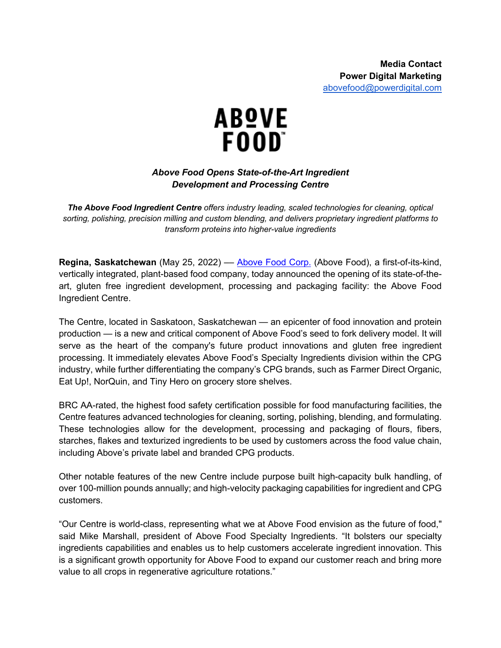

## *Above Food Opens State-of-the-Art Ingredient Development and Processing Centre*

*The Above Food Ingredient Centre offers industry leading, scaled technologies for cleaning, optical sorting, polishing, precision milling and custom blending, and delivers proprietary ingredient platforms to transform proteins into higher-value ingredients*

**Regina, Saskatchewan** (May 25, 2022) –– Above Food Corp. (Above Food), a first-of-its-kind, vertically integrated, plant-based food company, today announced the opening of its state-of-theart, gluten free ingredient development, processing and packaging facility: the Above Food Ingredient Centre.

The Centre, located in Saskatoon, Saskatchewan — an epicenter of food innovation and protein production — is a new and critical component of Above Food's seed to fork delivery model. It will serve as the heart of the company's future product innovations and gluten free ingredient processing. It immediately elevates Above Food's Specialty Ingredients division within the CPG industry, while further differentiating the company's CPG brands, such as Farmer Direct Organic, Eat Up!, NorQuin, and Tiny Hero on grocery store shelves.

BRC AA-rated, the highest food safety certification possible for food manufacturing facilities, the Centre features advanced technologies for cleaning, sorting, polishing, blending, and formulating. These technologies allow for the development, processing and packaging of flours, fibers, starches, flakes and texturized ingredients to be used by customers across the food value chain, including Above's private label and branded CPG products.

Other notable features of the new Centre include purpose built high-capacity bulk handling, of over 100-million pounds annually; and high-velocity packaging capabilities for ingredient and CPG customers.

"Our Centre is world-class, representing what we at Above Food envision as the future of food," said Mike Marshall, president of Above Food Specialty Ingredients. "It bolsters our specialty ingredients capabilities and enables us to help customers accelerate ingredient innovation. This is a significant growth opportunity for Above Food to expand our customer reach and bring more value to all crops in regenerative agriculture rotations."